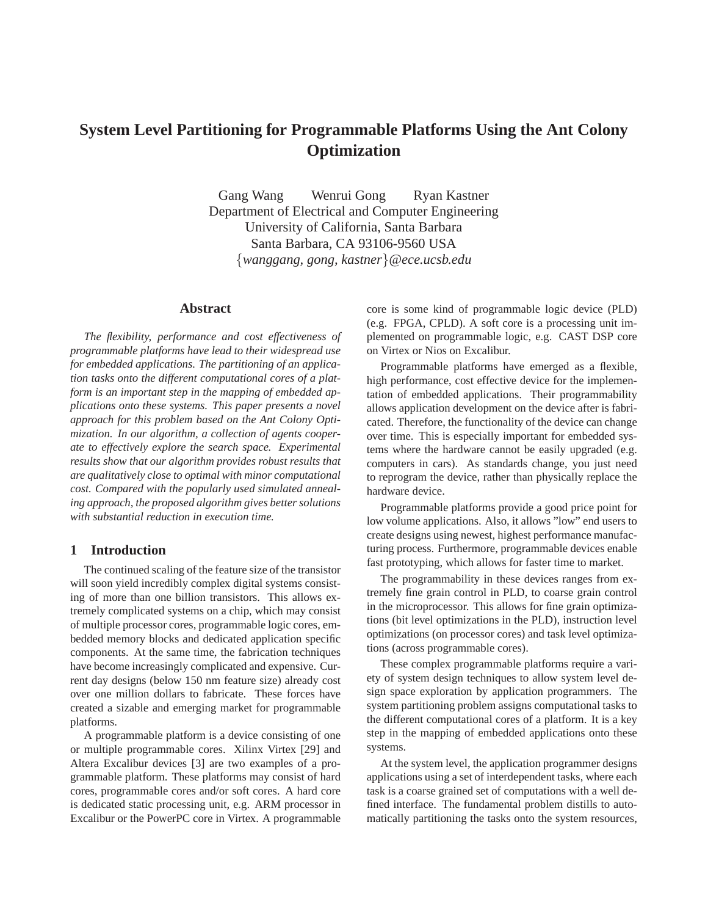# **System Level Partitioning for Programmable Platforms Using the Ant Colony Optimization**

Gang Wang Wenrui Gong Ryan Kastner Department of Electrical and Computer Engineering University of California, Santa Barbara Santa Barbara, CA 93106-9560 USA {*wanggang, gong, kastner*}*@ece.ucsb.edu*

### **Abstract**

*The flexibility, performance and cost effectiveness of programmable platforms have lead to their widespread use for embedded applications. The partitioning of an application tasks onto the different computational cores of a platform is an important step in the mapping of embedded applications onto these systems. This paper presents a novel approach for this problem based on the Ant Colony Optimization. In our algorithm, a collection of agents cooperate to effectively explore the search space. Experimental results show that our algorithm provides robust results that are qualitatively close to optimal with minor computational cost. Compared with the popularly used simulated annealing approach, the proposed algorithm gives better solutions with substantial reduction in execution time.*

# **1 Introduction**

The continued scaling of the feature size of the transistor will soon yield incredibly complex digital systems consisting of more than one billion transistors. This allows extremely complicated systems on a chip, which may consist of multiple processor cores, programmable logic cores, embedded memory blocks and dedicated application specific components. At the same time, the fabrication techniques have become increasingly complicated and expensive. Current day designs (below 150 nm feature size) already cost over one million dollars to fabricate. These forces have created a sizable and emerging market for programmable platforms.

A programmable platform is a device consisting of one or multiple programmable cores. Xilinx Virtex [29] and Altera Excalibur devices [3] are two examples of a programmable platform. These platforms may consist of hard cores, programmable cores and/or soft cores. A hard core is dedicated static processing unit, e.g. ARM processor in Excalibur or the PowerPC core in Virtex. A programmable core is some kind of programmable logic device (PLD) (e.g. FPGA, CPLD). A soft core is a processing unit implemented on programmable logic, e.g. CAST DSP core on Virtex or Nios on Excalibur.

Programmable platforms have emerged as a flexible, high performance, cost effective device for the implementation of embedded applications. Their programmability allows application development on the device after is fabricated. Therefore, the functionality of the device can change over time. This is especially important for embedded systems where the hardware cannot be easily upgraded (e.g. computers in cars). As standards change, you just need to reprogram the device, rather than physically replace the hardware device.

Programmable platforms provide a good price point for low volume applications. Also, it allows "low" end users to create designs using newest, highest performance manufacturing process. Furthermore, programmable devices enable fast prototyping, which allows for faster time to market.

The programmability in these devices ranges from extremely fine grain control in PLD, to coarse grain control in the microprocessor. This allows for fine grain optimizations (bit level optimizations in the PLD), instruction level optimizations (on processor cores) and task level optimizations (across programmable cores).

These complex programmable platforms require a variety of system design techniques to allow system level design space exploration by application programmers. The system partitioning problem assigns computational tasks to the different computational cores of a platform. It is a key step in the mapping of embedded applications onto these systems.

At the system level, the application programmer designs applications using a set of interdependent tasks, where each task is a coarse grained set of computations with a well defined interface. The fundamental problem distills to automatically partitioning the tasks onto the system resources,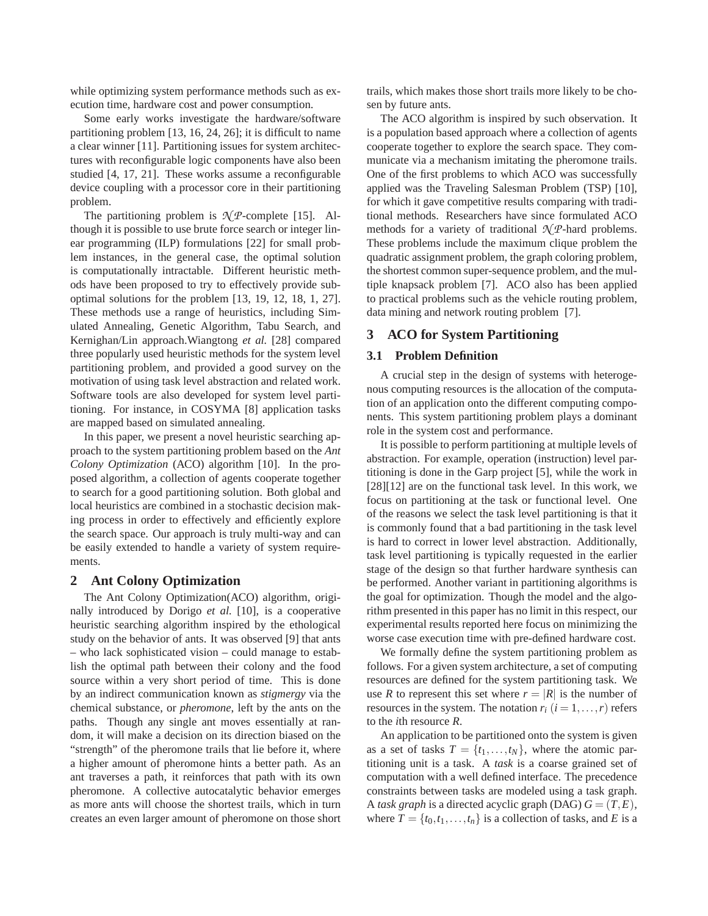while optimizing system performance methods such as execution time, hardware cost and power consumption.

Some early works investigate the hardware/software partitioning problem [13, 16, 24, 26]; it is difficult to name a clear winner [11]. Partitioning issues for system architectures with reconfigurable logic components have also been studied [4, 17, 21]. These works assume a reconfigurable device coupling with a processor core in their partitioning problem.

The partitioning problem is  $\mathcal{N}$ *P*-complete [15]. Although it is possible to use brute force search or integer linear programming (ILP) formulations [22] for small problem instances, in the general case, the optimal solution is computationally intractable. Different heuristic methods have been proposed to try to effectively provide suboptimal solutions for the problem [13, 19, 12, 18, 1, 27]. These methods use a range of heuristics, including Simulated Annealing, Genetic Algorithm, Tabu Search, and Kernighan/Lin approach.Wiangtong *et al.* [28] compared three popularly used heuristic methods for the system level partitioning problem, and provided a good survey on the motivation of using task level abstraction and related work. Software tools are also developed for system level partitioning. For instance, in COSYMA [8] application tasks are mapped based on simulated annealing.

In this paper, we present a novel heuristic searching approach to the system partitioning problem based on the *Ant Colony Optimization* (ACO) algorithm [10]. In the proposed algorithm, a collection of agents cooperate together to search for a good partitioning solution. Both global and local heuristics are combined in a stochastic decision making process in order to effectively and efficiently explore the search space. Our approach is truly multi-way and can be easily extended to handle a variety of system requirements.

# **2 Ant Colony Optimization**

The Ant Colony Optimization(ACO) algorithm, originally introduced by Dorigo *et al.* [10], is a cooperative heuristic searching algorithm inspired by the ethological study on the behavior of ants. It was observed [9] that ants – who lack sophisticated vision – could manage to establish the optimal path between their colony and the food source within a very short period of time. This is done by an indirect communication known as *stigmergy* via the chemical substance, or *pheromone*, left by the ants on the paths. Though any single ant moves essentially at random, it will make a decision on its direction biased on the "strength" of the pheromone trails that lie before it, where a higher amount of pheromone hints a better path. As an ant traverses a path, it reinforces that path with its own pheromone. A collective autocatalytic behavior emerges as more ants will choose the shortest trails, which in turn creates an even larger amount of pheromone on those short

trails, which makes those short trails more likely to be chosen by future ants.

The ACO algorithm is inspired by such observation. It is a population based approach where a collection of agents cooperate together to explore the search space. They communicate via a mechanism imitating the pheromone trails. One of the first problems to which ACO was successfully applied was the Traveling Salesman Problem (TSP) [10], for which it gave competitive results comparing with traditional methods. Researchers have since formulated ACO methods for a variety of traditional  $\mathcal{N}$ *P*-hard problems. These problems include the maximum clique problem the quadratic assignment problem, the graph coloring problem, the shortest common super-sequence problem, and the multiple knapsack problem [7]. ACO also has been applied to practical problems such as the vehicle routing problem, data mining and network routing problem [7].

# **3 ACO for System Partitioning**

# **3.1 Problem Definition**

A crucial step in the design of systems with heterogenous computing resources is the allocation of the computation of an application onto the different computing components. This system partitioning problem plays a dominant role in the system cost and performance.

It is possible to perform partitioning at multiple levels of abstraction. For example, operation (instruction) level partitioning is done in the Garp project [5], while the work in [28][12] are on the functional task level. In this work, we focus on partitioning at the task or functional level. One of the reasons we select the task level partitioning is that it is commonly found that a bad partitioning in the task level is hard to correct in lower level abstraction. Additionally, task level partitioning is typically requested in the earlier stage of the design so that further hardware synthesis can be performed. Another variant in partitioning algorithms is the goal for optimization. Though the model and the algorithm presented in this paper has no limit in this respect, our experimental results reported here focus on minimizing the worse case execution time with pre-defined hardware cost.

We formally define the system partitioning problem as follows. For a given system architecture, a set of computing resources are defined for the system partitioning task. We use *R* to represent this set where  $r = |R|$  is the number of resources in the system. The notation  $r_i$  ( $i = 1, \ldots, r$ ) refers to the *i*th resource *R*.

An application to be partitioned onto the system is given as a set of tasks  $T = \{t_1, \ldots, t_N\}$ , where the atomic partitioning unit is a task. A *task* is a coarse grained set of computation with a well defined interface. The precedence constraints between tasks are modeled using a task graph. A *task graph* is a directed acyclic graph (DAG)  $G = (T, E)$ , where  $T = \{t_0, t_1, \ldots, t_n\}$  is a collection of tasks, and *E* is a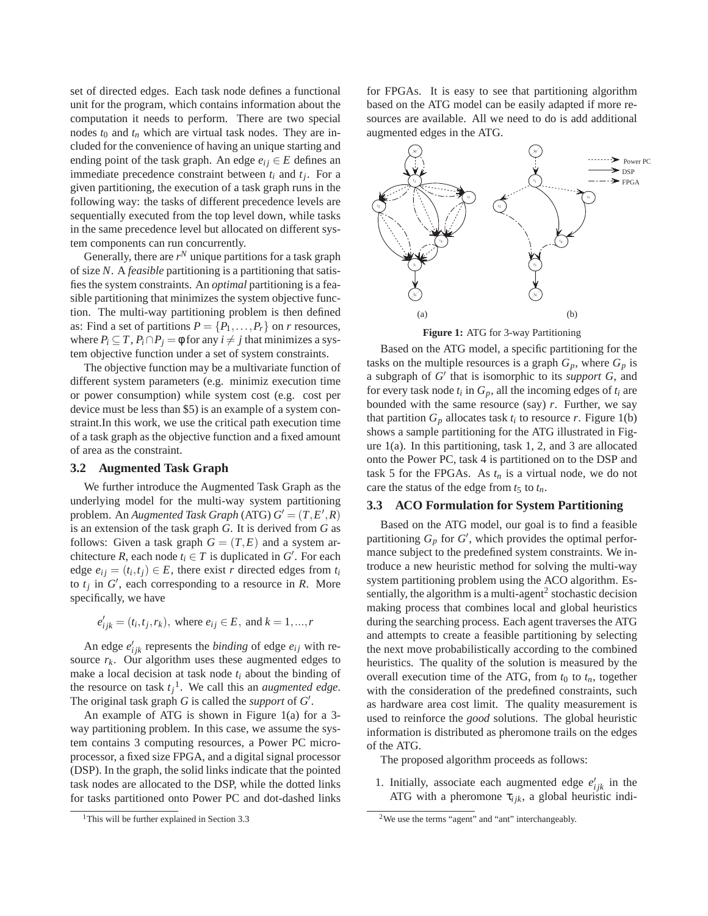set of directed edges. Each task node defines a functional unit for the program, which contains information about the computation it needs to perform. There are two special nodes  $t_0$  and  $t_n$  which are virtual task nodes. They are included for the convenience of having an unique starting and ending point of the task graph. An edge  $e_{ij} \in E$  defines an immediate precedence constraint between  $t_i$  and  $t_j$ . For a given partitioning, the execution of a task graph runs in the following way: the tasks of different precedence levels are sequentially executed from the top level down, while tasks in the same precedence level but allocated on different system components can run concurrently.

Generally, there are  $r^N$  unique partitions for a task graph of size *N*. A *feasible* partitioning is a partitioning that satisfies the system constraints. An *optimal* partitioning is a feasible partitioning that minimizes the system objective function. The multi-way partitioning problem is then defined as: Find a set of partitions  $P = \{P_1, \ldots, P_r\}$  on *r* resources, where  $P_i \subseteq T$ ,  $P_i \cap P_j = \emptyset$  for any  $i \neq j$  that minimizes a system objective function under a set of system constraints.

The objective function may be a multivariate function of different system parameters (e.g. minimiz execution time or power consumption) while system cost (e.g. cost per device must be less than \$5) is an example of a system constraint.In this work, we use the critical path execution time of a task graph as the objective function and a fixed amount of area as the constraint.

#### **3.2 Augmented Task Graph**

We further introduce the Augmented Task Graph as the underlying model for the multi-way system partitioning problem. An *Augmented Task Graph* (ATG)  $G' = (T, E', R)$ is an extension of the task graph *G*. It is derived from *G* as follows: Given a task graph  $G = (T, E)$  and a system architecture *R*, each node  $t_i \in T$  is duplicated in  $G'$ . For each edge  $e_{ij} = (t_i, t_j) \in E$ , there exist *r* directed edges from  $t_i$ to  $t_j$  in  $G'$ , each corresponding to a resource in *R*. More specifically, we have

$$
e'_{ijk} = (t_i, t_j, r_k)
$$
, where  $e_{ij} \in E$ , and  $k = 1, ..., r$ 

An edge  $e'_{ijk}$  represents the *binding* of edge  $e_{ij}$  with resource  $r_k$ . Our algorithm uses these augmented edges to make a local decision at task node  $t_i$  about the binding of the resource on task  $t_j$ <sup>1</sup>. We call this an *augmented edge*. The original task graph  $G$  is called the *support* of  $G'$ .

An example of ATG is shown in Figure 1(a) for a 3 way partitioning problem. In this case, we assume the system contains 3 computing resources, a Power PC microprocessor, a fixed size FPGA, and a digital signal processor (DSP). In the graph, the solid links indicate that the pointed task nodes are allocated to the DSP, while the dotted links for tasks partitioned onto Power PC and dot-dashed links

for FPGAs. It is easy to see that partitioning algorithm based on the ATG model can be easily adapted if more resources are available. All we need to do is add additional augmented edges in the ATG.



**Figure 1:** ATG for 3-way Partitioning

Based on the ATG model, a specific partitioning for the tasks on the multiple resources is a graph  $G_p$ , where  $G_p$  is a subgraph of *G* ′ that is isomorphic to its *support G*, and for every task node  $t_i$  in  $G_p$ , all the incoming edges of  $t_i$  are bounded with the same resource (say) *r*. Further, we say that partition  $G_p$  allocates task  $t_i$  to resource  $r$ . Figure 1(b) shows a sample partitioning for the ATG illustrated in Figure  $1(a)$ . In this partitioning, task 1, 2, and 3 are allocated onto the Power PC, task 4 is partitioned on to the DSP and task 5 for the FPGAs. As  $t_n$  is a virtual node, we do not care the status of the edge from  $t_5$  to  $t_n$ .

### **3.3 ACO Formulation for System Partitioning**

Based on the ATG model, our goal is to find a feasible partitioning  $G_p$  for  $G'$ , which provides the optimal performance subject to the predefined system constraints. We introduce a new heuristic method for solving the multi-way system partitioning problem using the ACO algorithm. Essentially, the algorithm is a multi-agent<sup>2</sup> stochastic decision making process that combines local and global heuristics during the searching process. Each agent traverses the ATG and attempts to create a feasible partitioning by selecting the next move probabilistically according to the combined heuristics. The quality of the solution is measured by the overall execution time of the ATG, from  $t_0$  to  $t_n$ , together with the consideration of the predefined constraints, such as hardware area cost limit. The quality measurement is used to reinforce the *good* solutions. The global heuristic information is distributed as pheromone trails on the edges of the ATG.

The proposed algorithm proceeds as follows:

1. Initially, associate each augmented edge  $e'_{ijk}$  in the ATG with a pheromone  $\tau_{ijk}$ , a global heuristic indi-

<sup>&</sup>lt;sup>1</sup>This will be further explained in Section 3.3

<sup>&</sup>lt;sup>2</sup>We use the terms "agent" and "ant" interchangeably.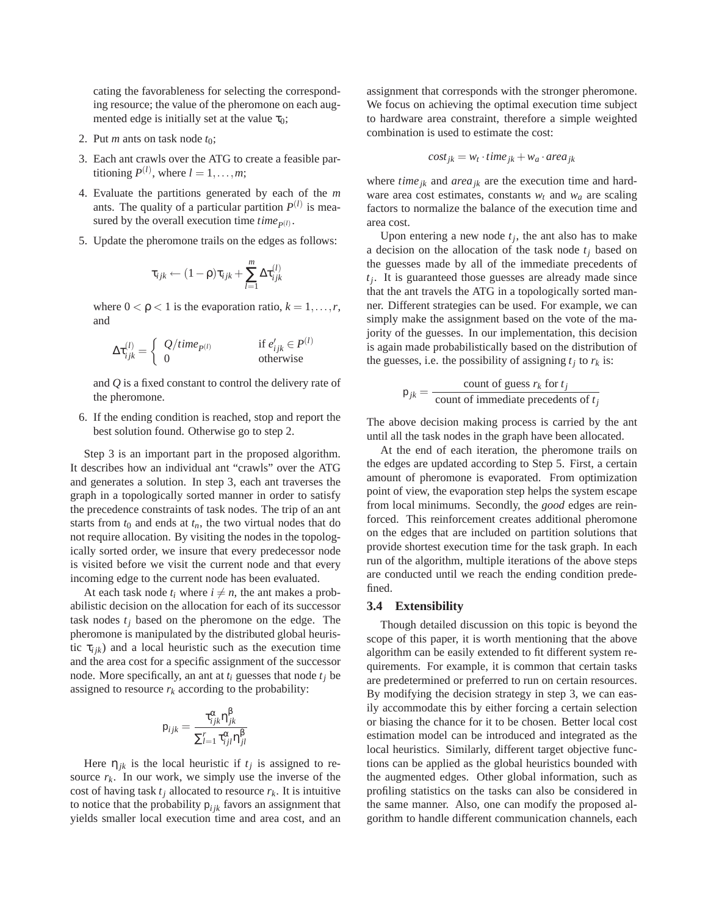cating the favorableness for selecting the corresponding resource; the value of the pheromone on each augmented edge is initially set at the value  $\tau_0$ ;

- 2. Put *m* ants on task node  $t_0$ ;
- 3. Each ant crawls over the ATG to create a feasible partitioning  $P^{(l)}$ , where  $l = 1, \ldots, m$ ;
- 4. Evaluate the partitions generated by each of the *m* ants. The quality of a particular partition  $P^{(l)}$  is measured by the overall execution time  $time_{P^{(l)}}$ .
- 5. Update the pheromone trails on the edges as follows:

$$
\tau_{ijk} \leftarrow (1-\rho)\tau_{ijk} + \sum_{l=1}^m \Delta \tau_{ijk}^{(l)}
$$

where  $0 < \rho < 1$  is the evaporation ratio,  $k = 1, \ldots, r$ , and

$$
\Delta \tau_{ijk}^{(l)} = \begin{cases} Q/time_{p(l)} & \text{if } e'_{ijk} \in P^{(l)} \\ 0 & \text{otherwise} \end{cases}
$$

and *Q* is a fixed constant to control the delivery rate of the pheromone.

6. If the ending condition is reached, stop and report the best solution found. Otherwise go to step 2.

Step 3 is an important part in the proposed algorithm. It describes how an individual ant "crawls" over the ATG and generates a solution. In step 3, each ant traverses the graph in a topologically sorted manner in order to satisfy the precedence constraints of task nodes. The trip of an ant starts from  $t_0$  and ends at  $t_n$ , the two virtual nodes that do not require allocation. By visiting the nodes in the topologically sorted order, we insure that every predecessor node is visited before we visit the current node and that every incoming edge to the current node has been evaluated.

At each task node  $t_i$  where  $i \neq n$ , the ant makes a probabilistic decision on the allocation for each of its successor task nodes *t<sup>j</sup>* based on the pheromone on the edge. The pheromone is manipulated by the distributed global heuristic  $\tau_{ijk}$ ) and a local heuristic such as the execution time and the area cost for a specific assignment of the successor node. More specifically, an ant at  $t_i$  guesses that node  $t_j$  be assigned to resource  $r_k$  according to the probability:

$$
\mathsf{p}_{ijk} = \frac{\tau_{ijk}^{\alpha} \eta_{jk}^{\beta}}{\sum_{l=1}^{r} \tau_{ijl}^{\alpha} \eta_{jl}^{\beta}}
$$

Here  $\eta_{jk}$  is the local heuristic if  $t_j$  is assigned to resource  $r_k$ . In our work, we simply use the inverse of the cost of having task  $t_j$  allocated to resource  $r_k$ . It is intuitive to notice that the probability  $p_{ijk}$  favors an assignment that yields smaller local execution time and area cost, and an

assignment that corresponds with the stronger pheromone. We focus on achieving the optimal execution time subject to hardware area constraint, therefore a simple weighted combination is used to estimate the cost:

$$
cost_{jk} = w_t \cdot time_{jk} + w_a \cdot area_{jk}
$$

where *time*<sub>*jk*</sub> and *area*<sub>*jk*</sub> are the execution time and hardware area cost estimates, constants  $w_t$  and  $w_a$  are scaling factors to normalize the balance of the execution time and area cost.

Upon entering a new node  $t_j$ , the ant also has to make a decision on the allocation of the task node *t<sup>j</sup>* based on the guesses made by all of the immediate precedents of *tj* . It is guaranteed those guesses are already made since that the ant travels the ATG in a topologically sorted manner. Different strategies can be used. For example, we can simply make the assignment based on the vote of the majority of the guesses. In our implementation, this decision is again made probabilistically based on the distribution of the guesses, i.e. the possibility of assigning  $t_j$  to  $r_k$  is:

$$
p_{jk} = \frac{\text{count of guess } r_k \text{ for } t_j}{\text{count of immediate precedents of } t_j}
$$

The above decision making process is carried by the ant until all the task nodes in the graph have been allocated.

At the end of each iteration, the pheromone trails on the edges are updated according to Step 5. First, a certain amount of pheromone is evaporated. From optimization point of view, the evaporation step helps the system escape from local minimums. Secondly, the *good* edges are reinforced. This reinforcement creates additional pheromone on the edges that are included on partition solutions that provide shortest execution time for the task graph. In each run of the algorithm, multiple iterations of the above steps are conducted until we reach the ending condition predefined.

#### **3.4 Extensibility**

Though detailed discussion on this topic is beyond the scope of this paper, it is worth mentioning that the above algorithm can be easily extended to fit different system requirements. For example, it is common that certain tasks are predetermined or preferred to run on certain resources. By modifying the decision strategy in step 3, we can easily accommodate this by either forcing a certain selection or biasing the chance for it to be chosen. Better local cost estimation model can be introduced and integrated as the local heuristics. Similarly, different target objective functions can be applied as the global heuristics bounded with the augmented edges. Other global information, such as profiling statistics on the tasks can also be considered in the same manner. Also, one can modify the proposed algorithm to handle different communication channels, each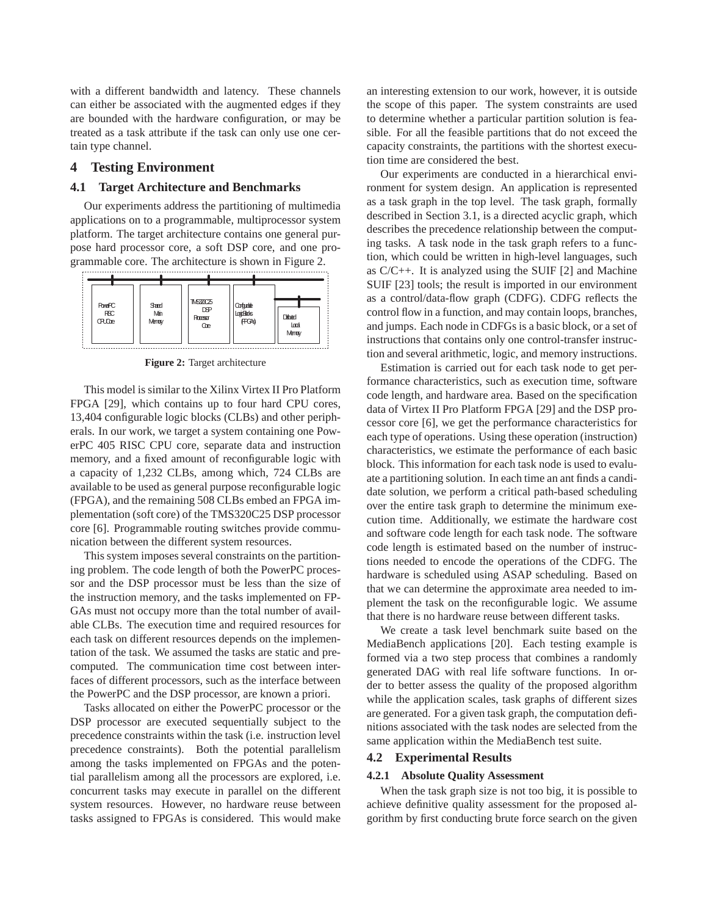with a different bandwidth and latency. These channels can either be associated with the augmented edges if they are bounded with the hardware configuration, or may be treated as a task attribute if the task can only use one certain type channel.

# **4 Testing Environment**

# **4.1 Target Architecture and Benchmarks**

Our experiments address the partitioning of multimedia applications on to a programmable, multiprocessor system platform. The target architecture contains one general purpose hard processor core, a soft DSP core, and one programmable core. The architecture is shown in Figure 2.



**Figure 2:** Target architecture

This model is similar to the Xilinx Virtex II Pro Platform FPGA [29], which contains up to four hard CPU cores, 13,404 configurable logic blocks (CLBs) and other peripherals. In our work, we target a system containing one PowerPC 405 RISC CPU core, separate data and instruction memory, and a fixed amount of reconfigurable logic with a capacity of 1,232 CLBs, among which, 724 CLBs are available to be used as general purpose reconfigurable logic (FPGA), and the remaining 508 CLBs embed an FPGA implementation (soft core) of the TMS320C25 DSP processor core [6]. Programmable routing switches provide communication between the different system resources.

This system imposes several constraints on the partitioning problem. The code length of both the PowerPC processor and the DSP processor must be less than the size of the instruction memory, and the tasks implemented on FP-GAs must not occupy more than the total number of available CLBs. The execution time and required resources for each task on different resources depends on the implementation of the task. We assumed the tasks are static and precomputed. The communication time cost between interfaces of different processors, such as the interface between the PowerPC and the DSP processor, are known a priori.

Tasks allocated on either the PowerPC processor or the DSP processor are executed sequentially subject to the precedence constraints within the task (i.e. instruction level precedence constraints). Both the potential parallelism among the tasks implemented on FPGAs and the potential parallelism among all the processors are explored, i.e. concurrent tasks may execute in parallel on the different system resources. However, no hardware reuse between tasks assigned to FPGAs is considered. This would make

an interesting extension to our work, however, it is outside the scope of this paper. The system constraints are used to determine whether a particular partition solution is feasible. For all the feasible partitions that do not exceed the capacity constraints, the partitions with the shortest execution time are considered the best.

Our experiments are conducted in a hierarchical environment for system design. An application is represented as a task graph in the top level. The task graph, formally described in Section 3.1, is a directed acyclic graph, which describes the precedence relationship between the computing tasks. A task node in the task graph refers to a function, which could be written in high-level languages, such as C/C++. It is analyzed using the SUIF [2] and Machine SUIF [23] tools; the result is imported in our environment as a control/data-flow graph (CDFG). CDFG reflects the control flow in a function, and may contain loops, branches, and jumps. Each node in CDFGs is a basic block, or a set of instructions that contains only one control-transfer instruction and several arithmetic, logic, and memory instructions.

Estimation is carried out for each task node to get performance characteristics, such as execution time, software code length, and hardware area. Based on the specification data of Virtex II Pro Platform FPGA [29] and the DSP processor core [6], we get the performance characteristics for each type of operations. Using these operation (instruction) characteristics, we estimate the performance of each basic block. This information for each task node is used to evaluate a partitioning solution. In each time an ant finds a candidate solution, we perform a critical path-based scheduling over the entire task graph to determine the minimum execution time. Additionally, we estimate the hardware cost and software code length for each task node. The software code length is estimated based on the number of instructions needed to encode the operations of the CDFG. The hardware is scheduled using ASAP scheduling. Based on that we can determine the approximate area needed to implement the task on the reconfigurable logic. We assume that there is no hardware reuse between different tasks.

We create a task level benchmark suite based on the MediaBench applications [20]. Each testing example is formed via a two step process that combines a randomly generated DAG with real life software functions. In order to better assess the quality of the proposed algorithm while the application scales, task graphs of different sizes are generated. For a given task graph, the computation definitions associated with the task nodes are selected from the same application within the MediaBench test suite.

### **4.2 Experimental Results**

# **4.2.1 Absolute Quality Assessment**

When the task graph size is not too big, it is possible to achieve definitive quality assessment for the proposed algorithm by first conducting brute force search on the given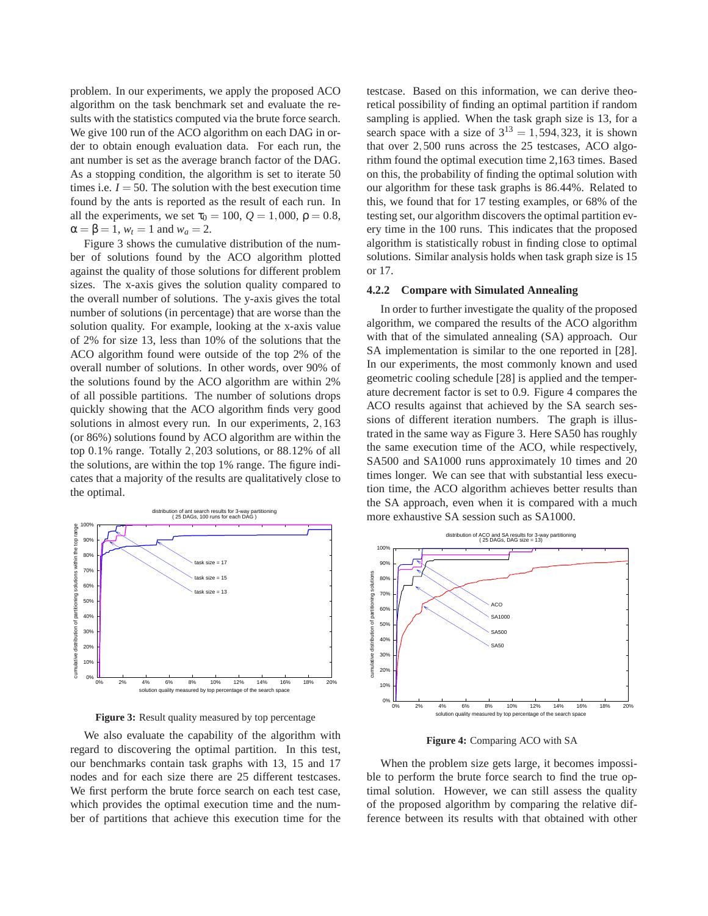problem. In our experiments, we apply the proposed ACO algorithm on the task benchmark set and evaluate the results with the statistics computed via the brute force search. We give 100 run of the ACO algorithm on each DAG in order to obtain enough evaluation data. For each run, the ant number is set as the average branch factor of the DAG. As a stopping condition, the algorithm is set to iterate 50 times i.e.  $I = 50$ . The solution with the best execution time found by the ants is reported as the result of each run. In all the experiments, we set  $\tau_0 = 100$ ,  $Q = 1,000$ ,  $\rho = 0.8$ ,  $\alpha = \beta = 1$ ,  $w_t = 1$  and  $w_a = 2$ .

Figure 3 shows the cumulative distribution of the number of solutions found by the ACO algorithm plotted against the quality of those solutions for different problem sizes. The x-axis gives the solution quality compared to the overall number of solutions. The y-axis gives the total number of solutions (in percentage) that are worse than the solution quality. For example, looking at the x-axis value of 2% for size 13, less than 10% of the solutions that the ACO algorithm found were outside of the top 2% of the overall number of solutions. In other words, over 90% of the solutions found by the ACO algorithm are within 2% of all possible partitions. The number of solutions drops quickly showing that the ACO algorithm finds very good solutions in almost every run. In our experiments, 2,163 (or 86%) solutions found by ACO algorithm are within the top 0.1% range. Totally 2,203 solutions, or 88.12% of all the solutions, are within the top 1% range. The figure indicates that a majority of the results are qualitatively close to the optimal.



**Figure 3:** Result quality measured by top percentage

We also evaluate the capability of the algorithm with regard to discovering the optimal partition. In this test, our benchmarks contain task graphs with 13, 15 and 17 nodes and for each size there are 25 different testcases. We first perform the brute force search on each test case, which provides the optimal execution time and the number of partitions that achieve this execution time for the

testcase. Based on this information, we can derive theoretical possibility of finding an optimal partition if random sampling is applied. When the task graph size is 13, for a search space with a size of  $3^{13} = 1,594,323$ , it is shown that over 2,500 runs across the 25 testcases, ACO algorithm found the optimal execution time 2,163 times. Based on this, the probability of finding the optimal solution with our algorithm for these task graphs is 86.44%. Related to this, we found that for 17 testing examples, or 68% of the testing set, our algorithm discovers the optimal partition every time in the 100 runs. This indicates that the proposed algorithm is statistically robust in finding close to optimal solutions. Similar analysis holds when task graph size is 15 or 17.

#### **4.2.2 Compare with Simulated Annealing**

In order to further investigate the quality of the proposed algorithm, we compared the results of the ACO algorithm with that of the simulated annealing (SA) approach. Our SA implementation is similar to the one reported in [28]. In our experiments, the most commonly known and used geometric cooling schedule [28] is applied and the temperature decrement factor is set to 0.9. Figure 4 compares the ACO results against that achieved by the SA search sessions of different iteration numbers. The graph is illustrated in the same way as Figure 3. Here SA50 has roughly the same execution time of the ACO, while respectively, SA500 and SA1000 runs approximately 10 times and 20 times longer. We can see that with substantial less execution time, the ACO algorithm achieves better results than the SA approach, even when it is compared with a much more exhaustive SA session such as SA1000.



**Figure 4:** Comparing ACO with SA

When the problem size gets large, it becomes impossible to perform the brute force search to find the true optimal solution. However, we can still assess the quality of the proposed algorithm by comparing the relative difference between its results with that obtained with other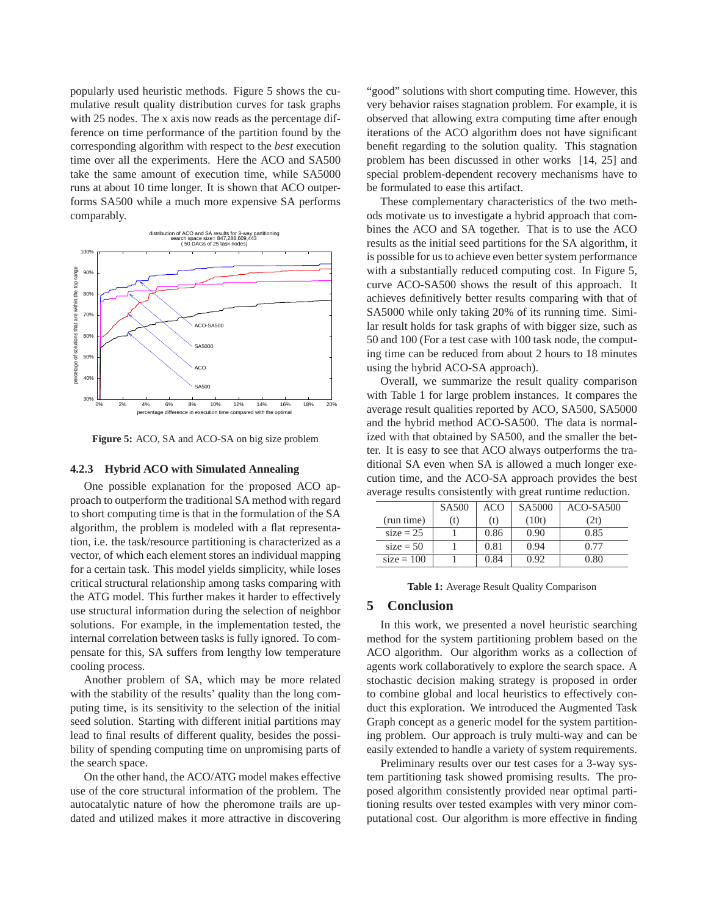popularly used heuristic methods. Figure 5 shows the cumulative result quality distribution curves for task graphs with 25 nodes. The x axis now reads as the percentage difference on time performance of the partition found by the corresponding algorithm with respect to the *best* execution time over all the experiments. Here the ACO and SA500 take the same amount of execution time, while SA5000 runs at about 10 time longer. It is shown that ACO outperforms SA500 while a much more expensive SA performs comparably.



**Figure 5:** ACO, SA and ACO-SA on big size problem

#### **4.2.3 Hybrid ACO with Simulated Annealing**

One possible explanation for the proposed ACO approach to outperform the traditional SA method with regard to short computing time is that in the formulation of the SA algorithm, the problem is modeled with a flat representation, i.e. the task/resource partitioning is characterized as a vector, of which each element stores an individual mapping for a certain task. This model yields simplicity, while loses critical structural relationship among tasks comparing with the ATG model. This further makes it harder to effectively use structural information during the selection of neighbor solutions. For example, in the implementation tested, the internal correlation between tasks is fully ignored. To compensate for this, SA suffers from lengthy low temperature cooling process.

Another problem of SA, which may be more related with the stability of the results' quality than the long computing time, is its sensitivity to the selection of the initial seed solution. Starting with different initial partitions may lead to final results of different quality, besides the possibility of spending computing time on unpromising parts of the search space.

On the other hand, the ACO/ATG model makes effective use of the core structural information of the problem. The autocatalytic nature of how the pheromone trails are updated and utilized makes it more attractive in discovering

"good" solutions with short computing time. However, this very behavior raises stagnation problem. For example, it is observed that allowing extra computing time after enough iterations of the ACO algorithm does not have significant benefit regarding to the solution quality. This stagnation problem has been discussed in other works [14, 25] and special problem-dependent recovery mechanisms have to be formulated to ease this artifact.

These complementary characteristics of the two methods motivate us to investigate a hybrid approach that combines the ACO and SA together. That is to use the ACO results as the initial seed partitions for the SA algorithm, it is possible for us to achieve even better system performance with a substantially reduced computing cost. In Figure 5, curve ACO-SA500 shows the result of this approach. It achieves definitively better results comparing with that of SA5000 while only taking 20% of its running time. Similar result holds for task graphs of with bigger size, such as 50 and 100 (For a test case with 100 task node, the computing time can be reduced from about 2 hours to 18 minutes using the hybrid ACO-SA approach).

Overall, we summarize the result quality comparison with Table 1 for large problem instances. It compares the average result qualities reported by ACO, SA500, SA5000 and the hybrid method ACO-SA500. The data is normalized with that obtained by SA500, and the smaller the better. It is easy to see that ACO always outperforms the traditional SA even when SA is allowed a much longer execution time, and the ACO-SA approach provides the best average results consistently with great runtime reduction.

|              | SA <sub>500</sub> | ACO  | SA5000 | $ACO-SA500$ |
|--------------|-------------------|------|--------|-------------|
| (run time)   | (t)               | (t)  | (10t)  | (2t)        |
| $size = 25$  |                   | 0.86 | 0.90   | 0.85        |
| $size = 50$  |                   | 0.81 | 0.94   | 0.77        |
| $size = 100$ |                   | 0.84 | 0.92   | 0.80        |

**Table 1:** Average Result Quality Comparison

# **5 Conclusion**

In this work, we presented a novel heuristic searching method for the system partitioning problem based on the ACO algorithm. Our algorithm works as a collection of agents work collaboratively to explore the search space. A stochastic decision making strategy is proposed in order to combine global and local heuristics to effectively conduct this exploration. We introduced the Augmented Task Graph concept as a generic model for the system partitioning problem. Our approach is truly multi-way and can be easily extended to handle a variety of system requirements.

Preliminary results over our test cases for a 3-way system partitioning task showed promising results. The proposed algorithm consistently provided near optimal partitioning results over tested examples with very minor computational cost. Our algorithm is more effective in finding